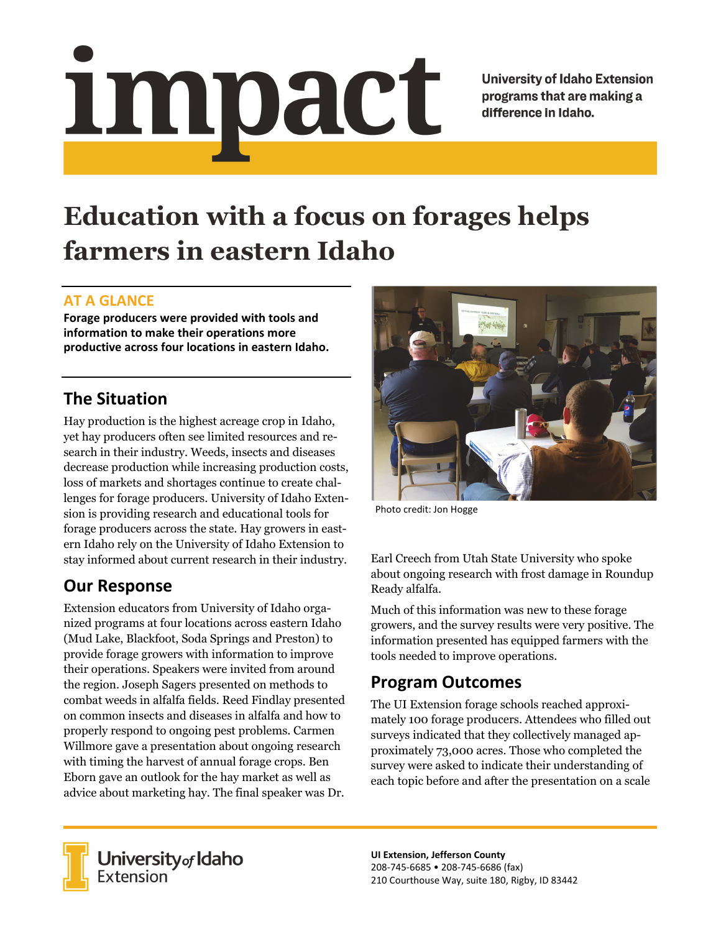# Impact

**University of Idaho Extension** programs that are making a difference in Idaho.

# **Education with a focus on forages helps farmers in eastern Idaho**

#### **AT A GLANCE**

**Forage producers were provided with tools and information to make their operations more productive across four locations in eastern Idaho.** 

# **The Situation**

Hay production is the highest acreage crop in Idaho, yet hay producers often see limited resources and research in their industry. Weeds, insects and diseases decrease production while increasing production costs, loss of markets and shortages continue to create challenges for forage producers. University of Idaho Extension is providing research and educational tools for forage producers across the state. Hay growers in eastern Idaho rely on the University of Idaho Extension to stay informed about current research in their industry.

# **Our Response**

Extension educators from University of Idaho organized programs at four locations across eastern Idaho (Mud Lake, Blackfoot, Soda Springs and Preston) to provide forage growers with information to improve their operations. Speakers were invited from around the region. Joseph Sagers presented on methods to combat weeds in alfalfa fields. Reed Findlay presented on common insects and diseases in alfalfa and how to properly respond to ongoing pest problems. Carmen Willmore gave a presentation about ongoing research with timing the harvest of annual forage crops. Ben Eborn gave an outlook for the hay market as well as advice about marketing hay. The final speaker was Dr.



Photo credit: Jon Hogge

Earl Creech from Utah State University who spoke about ongoing research with frost damage in Roundup Ready alfalfa.

Much of this information was new to these forage growers, and the survey results were very positive. The information presented has equipped farmers with the tools needed to improve operations.

### **Program Outcomes**

The UI Extension forage schools reached approximately 100 forage producers. Attendees who filled out surveys indicated that they collectively managed approximately 73,000 acres. Those who completed the survey were asked to indicate their understanding of each topic before and after the presentation on a scale



University of Idaho<br>Extension

**UI Extension, Jefferson County**  208‐745‐6685 • 208‐745‐6686 (fax) 210 Courthouse Way, suite 180, Rigby, ID 83442